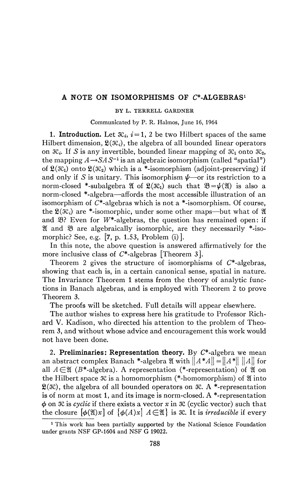# A NOTE ON ISOMORPHISMS OF  $C^*$ -ALGEBRAS<sup>1</sup>

#### BY L. TERRELL GARDNER

Communicated by P. R. Halmos, June 16, 1964

**1. Introduction.** Let  $\mathcal{R}_i$ ,  $i = 1$ , 2 be two Hilbert spaces of the same Hilbert dimension,  $\mathfrak{L}(\mathcal{K}_i)$ , the algebra of all bounded linear operators on  $\mathcal{R}_i$ . If S is any invertible, bounded linear mapping of  $\mathcal{R}_1$  onto  $\mathcal{R}_2$ , the mapping  $A \rightarrow SAS^{-1}$  is an algebraic isomorphism (called "spatial") of  $\mathfrak{L}(\mathfrak{K}_1)$  onto  $\mathfrak{L}(\mathfrak{K}_2)$  which is a \*-isomorphism (adjoint-preserving) if and only if S is unitary. This isomorphism  $\psi$ —or its restriction to a norm-closed \*-subalgebra  $\mathfrak{A}$  of  $\mathfrak{L}(\mathfrak{K}_1)$  such that  $\mathfrak{B}=\psi(\mathfrak{A})$  is also a norm-closed \*-algebra—affords the most accessible illustration of an isomorphism of  $C^*$ -algebras which is not a  $*$ -isomorphism. Of course, the  $\mathfrak{L}(\mathfrak{K}_i)$  are \*-isomorphic, under some other maps—but what of  $\mathfrak A$ and  $\mathfrak{B}$ ? Even for W<sup>\*</sup>-algebras, the question has remained open: if  $\mathfrak A$  and  $\mathfrak B$  are algebraically isomorphic, are they necessarily  $*$ -isomorphic? See, e.g. [7, p. 1.53, Problem (i)].

In this note, the above question is answered affirmatively for the more inclusive class of  $C^*$ -algebras [Theorem 3].

Theorem 2 gives the structure of isomorphisms of  $C^*$ -algebras, showing that each is, in a certain canonical sense, spatial in nature. The Invariance Theorem 1 stems from the theory of analytic functions in Banach algebras, and is employed with Theorem 2 to prove Theorem 3.

The proofs will be sketched. Full details will appear elsewhere.

The author wishes to express here his gratitude to Professor Richard V. Kadison, who directed his attention to the problem of Theorem 3, and without whose advice and encouragement this work would not have been done.

2. **Preliminaries: Representation theory.** By C\*-algebra we mean an abstract complex Banach \*-algebra  $\mathfrak{A}$  with  $||A^*A|| = ||A^*|| ||A||$  for all  $A \in \mathfrak{A}$  ( $B^*$ -algebra). A representation (\*-representation) of  $\mathfrak A$  on the Hilbert space  $\mathcal{R}$  is a homomorphism (\*-homomorphism) of  $\mathfrak A$  into  $\mathfrak{L}(\mathfrak{K})$ , the algebra of all bounded operators on  $\mathfrak{K}$ . A \*-representation is of norm at most 1, and its image is norm-closed. A  $*$ -representation  $\phi$  on  $\mathcal{R}$  is *cyclic* if there exists a vector  $x$  in  $\mathcal{R}$  (cyclic vector) such that the closure  $[\phi(\mathfrak{A})x]$  of  $\{\phi(A)x \mid A \in \mathfrak{A}\}\$ is 3C. It is *irreducible* if every

<sup>&</sup>lt;sup>1</sup> This work has been partially supported by the National Science Foundation under grants NSF GP-1604 and NSF G 19022.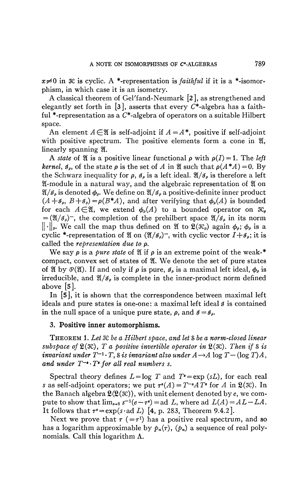$x \neq 0$  in  $\mathcal{R}$  is cyclic. A \*-representation is *faithful* if it is a \*-isomorphism, in which case it is an isometry.

A classical theorem of Gel'fand-Neumark [2], as strengthened and elegantly set forth in [3], asserts that every  $C^*$ -algebra has a faithful \*-representation as a  $C^*$ -algebra of operators on a suitable Hilbert space.

An element  $A \in \mathfrak{A}$  is self-adjoint if  $A = A^*$ , positive if self-adjoint with positive spectrum. The positive elements form a cone in  $\mathfrak{A}$ , linearly spanning  $\mathfrak{A}$ .

A *state* of  $\mathfrak A$  is a positive linear functional  $\rho$  with  $\rho(I) = 1$ . The *left kernel,*  $\mathfrak{g}_{\rho}$ , of the state  $\rho$  is the set of A in  $\mathfrak A$  such that  $\rho(A^*A) = 0$ . By the Schwarz inequality for  $\rho$ ,  $\mathcal{I}_{\rho}$  is a left ideal.  $\mathfrak{A}/\mathfrak{I}_{\rho}$  is therefore a left 31-module in a natural way, and the algebraic representation of 21 on  $\mathfrak{A}/\mathfrak{I}_\rho$  is denoted  $\phi_\rho$ . We define on  $\mathfrak{A}/\mathfrak{I}_\rho$  a positive-definite inner product  $(A+g_\rho, B+g_\rho) = \rho(B^*A)$ , and after verifying that  $\phi_\rho(A)$  is bounded for each  $A \in \mathfrak{A}$ , we extend  $\phi_{\rho}(A)$  to a bounded operator on  $\mathfrak{X}_{\rho}$  $= (\mathfrak{A}/\mathfrak{g}_{\rho})^-$ , the completion of the prehilbert space  $\mathfrak{A}/\mathfrak{g}_{\rho}$  in its norm  $|| \cdot ||_p$ . We call the map thus defined on  $\mathfrak{A}$  to  $\mathfrak{L}(\mathfrak{IC}_p)$  again  $\phi_p$ ;  $\phi_p$  is a cyclic \*-representation of  $\mathfrak A$  on  $(\mathfrak A/\mathfrak G_\rho)^-$ , with cyclic vector  $I+\mathfrak G_\rho$ ; it is called the *representation due to* p.

We say  $\rho$  is a *pure state* of  $\mathfrak A$  if  $\rho$  is an extreme point of the weak-\* compact, convex set of states of 2Ï. We denote the set of pure states of  $\mathfrak A$  by  $\mathfrak P(\mathfrak A)$ . If and only if  $\rho$  is pure,  $\mathfrak I_\rho$  is a maximal left ideal,  $\phi_\rho$  is irreducible, and  $\mathfrak{A}/\mathfrak{g}_\rho$  is complete in the inner-product norm defined above  $|5|$ .

In [5], it is shown that the correspondence between maximal left ideals and pure states is one-one : a maximal left ideal *\$* is contained in the null space of a unique pure state,  $\rho$ , and  $\beta = \beta_{\rho}$ .

### **3. Positive inner automorphisms.**

THEOREM 1. *Let 3Cbea Hilbert space, and let &bea norm-closed linear subspace of*  $\mathfrak{L}(\mathfrak{X})$ , T a positive invertible operator in  $\mathfrak{L}(\mathfrak{X})$ . Then if S is *invariant under*  $T^{-1} \cdot T$ ,  $\delta$  *is invariant also under*  $A \rightarrow A$  log  $T - (\log T)A$ , and under  $T^{-a} \cdot T^a$  for all real numbers s.

Spectral theory defines  $L = \log T$  and  $T^* = \exp (sL)$ , for each real s as self-adjoint operators; we put  $\tau^*(A) = T^{-*}AT^*$  for A in  $\mathfrak{L}(\mathfrak{K})$ . In the Banach algebra  $\mathfrak{L}(\mathfrak{L}(\mathfrak{X}))$ , with unit element denoted by e, we compute to show that  $\lim_{s\to 0} s^{-1}(e-\tau^s) = ad L$ , where ad  $L(A) = AL - LA$ . It follows that  $\tau^* = \exp(s \cdot \text{ad } L)$  [4, p. 283, Theorem 9.4.2].

Next we prove that  $\tau$  (= $\tau$ <sup>1</sup>) has a positive real spectrum, and so has a logarithm approximable by  $p_n(\tau)$ ,  $(p_n)$  a sequence of real polynomials. Call this logarithm  $\Lambda$ .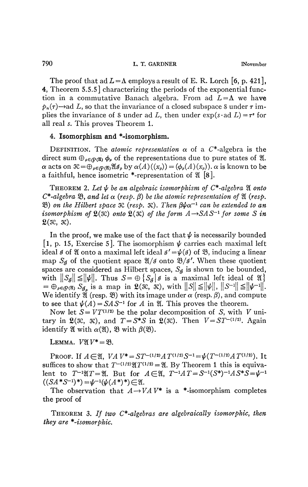The proof that ad  $L = \Lambda$  employs a result of E. R. Lorch [6, p. 421], 4, Theorem 5.5.5] characterizing the periods of the exponential function in a commutative Banach algebra. From ad  $L = \Lambda$  we have  $p_n(\tau)$ —ad L, so that the invariance of a closed subspace S under  $\tau$  implies the invariance of S under ad L, then under  $exp(s \cdot ad L) = \tau^s$  for all real *s.* This proves Theorem **1.** 

## 4. Isomorphism and \*-isomorphism.

DEFINITION. The *atomic representation*  $\alpha$  of a  $C^*$ -algebra is the direct sum  $\bigoplus_{\rho \in \mathcal{O}(2)} \phi_{\rho}$  of the representations due to pure states of  $\mathfrak{A}$ .  $\alpha$  acts on  $\mathcal{R} = \bigoplus_{p \in \mathcal{R}} \alpha_p \mathcal{A}(\mathcal{R}_p)}$  by  $\alpha(A)((x_p)) = (\phi_p(A)(x_p))$ .  $\alpha$  is known to be a faithful, hence isometric \*-representation of  $\mathfrak{A}$  [8].

THEOREM 2. Let  $\psi$  be an algebraic isomorphism of  $C^*$ -algebra  $\mathfrak A$  onto  $C^*$ -algebra  $\mathfrak{B}$ , and let  $\alpha$  (resp.  $\beta$ ) be the atomic representation of  $\mathfrak A$  (resp.  $\mathfrak{B}$ ) on the Hilbert space  $\mathfrak{K}$  (resp.  $\mathfrak{K}$ ). Then  $\beta \psi \alpha^{-1}$  can be extended to an *isomorphism of*  $\mathfrak{L}(\mathfrak{X})$  *onto*  $\mathfrak{L}(\mathfrak{X})$  *of the form*  $A \rightarrow SAS^{-1}$  *for some* S *in*  $\mathfrak{L}(\mathfrak{K}, \mathfrak{K}).$ 

In the proof, we make use of the fact that  $\psi$  is necessarily bounded [1, p. 15, Exercise 5]. The isomorphism  $\psi$  carries each maximal left ideal *I* of *Q* onto a maximal left ideal  $\mathcal{I}' = \psi(\mathcal{I})$  of *B*, inducing a linear map  $S<sub>g</sub>$  of the quotient space  $\mathfrak{A}/\mathfrak{g}$  onto  $\mathfrak{B}/\mathfrak{g}'$ . When these quotient spaces are considered as Hilbert spaces,  $S<sub>g</sub>$  is shown to be bounded, with  $||S_g|| \le ||\psi||$ . Thus  $S=\bigoplus \{S_g | \mathcal{J}$  is a maximal left ideal of  $\mathfrak{A}\}\$  $= \bigoplus_{\rho \in \mathcal{O}(\mathfrak{A})} S_{\mathcal{J}_{\rho}}$  is a map in  $\mathfrak{L}(\mathfrak{N}, \mathfrak{N})$ , with  $||S|| \leq ||\psi||, ||S^{-1}|| \leq ||\psi^{-1}||$ . We identify  $\mathfrak{A}$  (resp.  $\mathfrak{B}$ ) with its image under  $\alpha$  (resp.  $\beta$ ), and compute to see that  $\psi(A) = SAS^{-1}$  for *A* in  $\mathfrak{A}$ . This proves the theorem.

Now let  $S = VT^{(1/2)}$  be the polar decomposition of S, with V unitary in  $\mathfrak{L}(\mathfrak{X}, \mathfrak{X})$ , and  $T = S^*S$  in  $\mathfrak{L}(\mathfrak{X})$ . Then  $V = ST^{-(1/2)}$ . Again identify  $\mathfrak{A}$  with  $\alpha(\mathfrak{A}), \mathfrak{B}$  with  $\beta(\mathfrak{B}).$ 

LEMMA.  $V\mathfrak{A}V^* = \mathfrak{B}$ .

PROOF. If  $A \in \mathfrak{A}$ ,  $VAV^* = ST^{-(1/2)}AT^{(1/2)}S^{-1} = \psi(T^{-(1/2)}AT^{(1/2)})$ . It suffices to show that  $T^{-(1/2)}\mathfrak{A}T^{(1/2)} = \mathfrak{A}$ . By Theorem 1 this is equivalent to  $T^{-1}\mathfrak{A}T = \mathfrak{A}$ . But for  $A \in \mathfrak{A}$ ,  $T^{-1}AT = S^{-1}(S^*)^{-1}AS^*S = \psi^{-1}$  $((SA * S^{-1})^*) = \psi^{-1}(\psi(A^*)^*) \in \mathfrak{A}.$ 

The observation that  $A \rightarrow VAV^*$  is a \*-isomorphism completes the proof of

THEOREM 3. *If two C\*-algebras are algebraically isomorphic, then they are ^-isomorphic.*